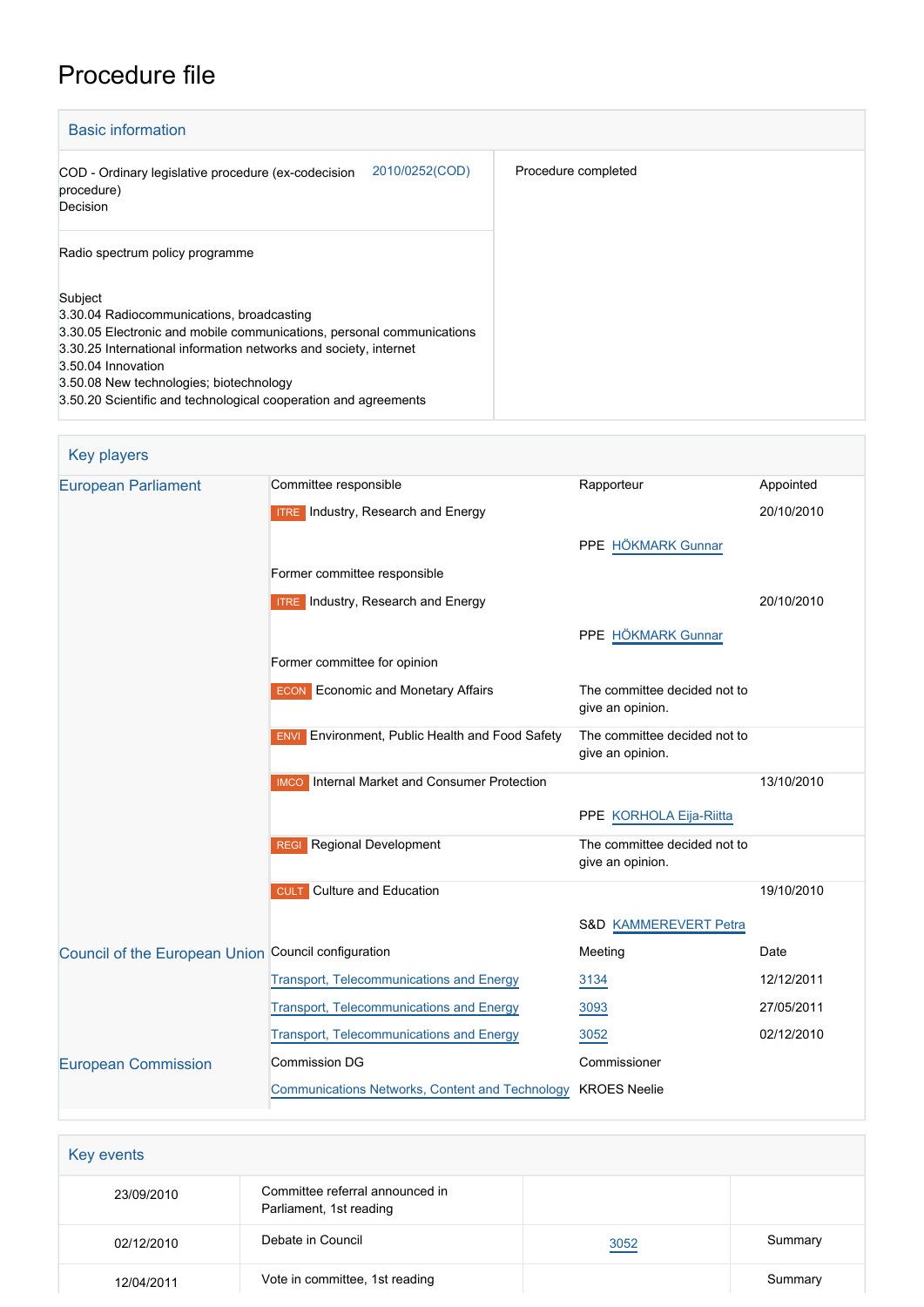# Procedure file

| <b>Basic information</b>                                                                                                                                                                                                                                                                                                              |                     |  |
|---------------------------------------------------------------------------------------------------------------------------------------------------------------------------------------------------------------------------------------------------------------------------------------------------------------------------------------|---------------------|--|
| 2010/0252(COD)<br>COD - Ordinary legislative procedure (ex-codecision<br>procedure)<br>Decision                                                                                                                                                                                                                                       | Procedure completed |  |
| Radio spectrum policy programme                                                                                                                                                                                                                                                                                                       |                     |  |
| Subject<br>3.30.04 Radiocommunications, broadcasting<br>3.30.05 Electronic and mobile communications, personal communications<br>3.30.25 International information networks and society, internet<br>3.50.04 Innovation<br>3.50.08 New technologies; biotechnology<br>3.50.20 Scientific and technological cooperation and agreements |                     |  |

| Key players                                         |                                                        |                                                  |            |
|-----------------------------------------------------|--------------------------------------------------------|--------------------------------------------------|------------|
| <b>European Parliament</b>                          | Committee responsible                                  | Rapporteur                                       | Appointed  |
|                                                     | <b>ITRE</b> Industry, Research and Energy              |                                                  | 20/10/2010 |
|                                                     |                                                        | PPE HÖKMARK Gunnar                               |            |
|                                                     | Former committee responsible                           |                                                  |            |
|                                                     | <b>ITRE</b> Industry, Research and Energy              |                                                  | 20/10/2010 |
|                                                     |                                                        | PPE HÖKMARK Gunnar                               |            |
|                                                     | Former committee for opinion                           |                                                  |            |
|                                                     | <b>ECON</b> Economic and Monetary Affairs              | The committee decided not to<br>give an opinion. |            |
|                                                     | <b>ENVI</b> Environment, Public Health and Food Safety | The committee decided not to<br>give an opinion. |            |
|                                                     | <b>IMCO</b> Internal Market and Consumer Protection    |                                                  | 13/10/2010 |
|                                                     |                                                        | PPE KORHOLA Eija-Riitta                          |            |
|                                                     | <b>REGI</b> Regional Development                       | The committee decided not to<br>give an opinion. |            |
|                                                     | <b>Culture and Education</b><br><b>CULT</b>            |                                                  | 19/10/2010 |
|                                                     |                                                        | S&D KAMMEREVERT Petra                            |            |
| Council of the European Union Council configuration |                                                        | Meeting                                          | Date       |
|                                                     | <b>Transport, Telecommunications and Energy</b>        | 3134                                             | 12/12/2011 |
|                                                     | <b>Transport, Telecommunications and Energy</b>        | 3093                                             | 27/05/2011 |
|                                                     | <b>Transport, Telecommunications and Energy</b>        | 3052                                             | 02/12/2010 |
| <b>European Commission</b>                          | <b>Commission DG</b>                                   | Commissioner                                     |            |
|                                                     | Communications Networks, Content and Technology        | <b>KROES Neelie</b>                              |            |

| Key events |                                                            |      |         |
|------------|------------------------------------------------------------|------|---------|
| 23/09/2010 | Committee referral announced in<br>Parliament, 1st reading |      |         |
| 02/12/2010 | Debate in Council                                          | 3052 | Summary |
| 12/04/2011 | Vote in committee, 1st reading                             |      | Summary |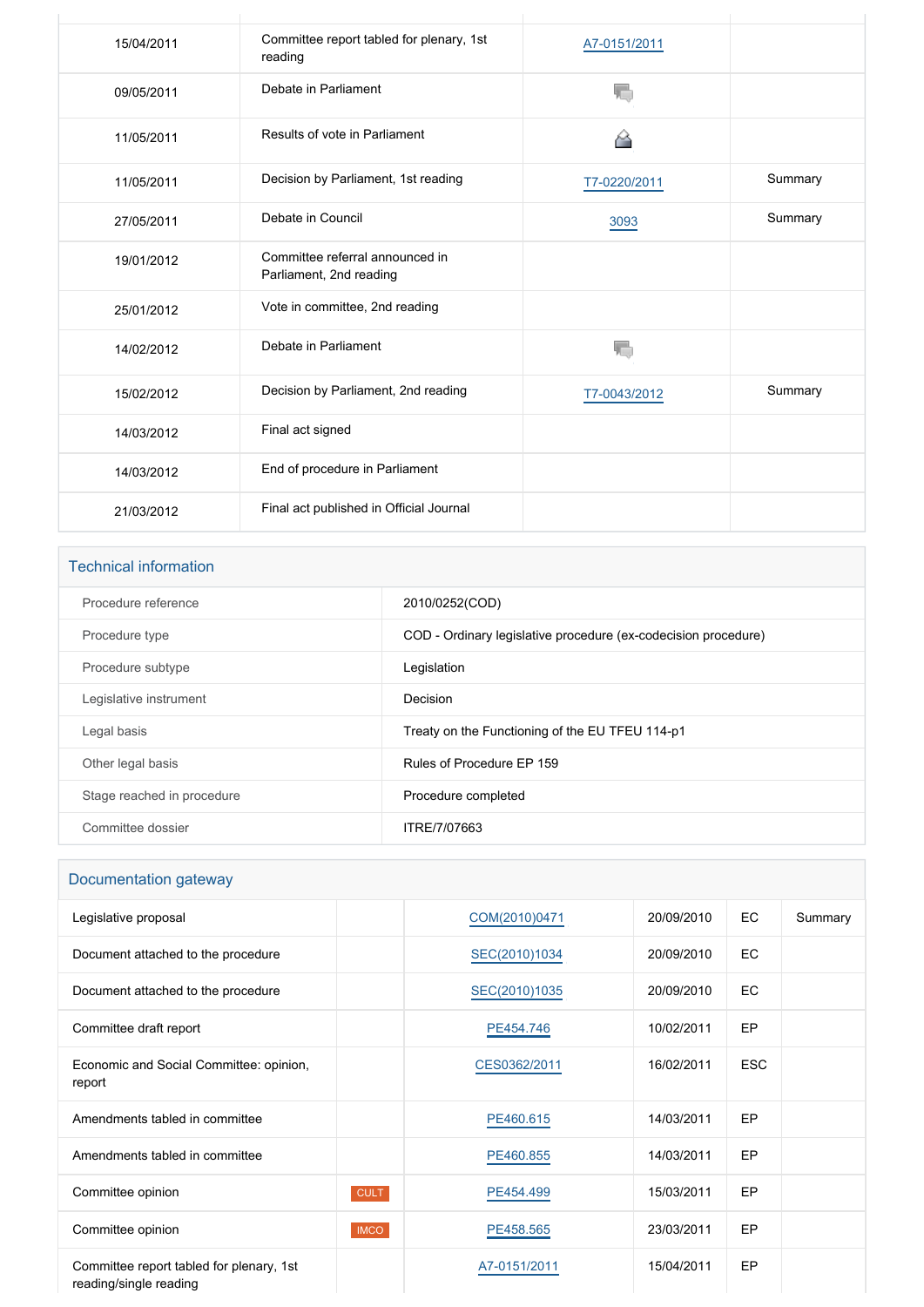| 15/04/2011 | Committee report tabled for plenary, 1st<br>reading        | A7-0151/2011 |         |
|------------|------------------------------------------------------------|--------------|---------|
| 09/05/2011 | Debate in Parliament                                       | ۱.,          |         |
| 11/05/2011 | Results of vote in Parliament                              | ◠            |         |
| 11/05/2011 | Decision by Parliament, 1st reading                        | T7-0220/2011 | Summary |
| 27/05/2011 | Debate in Council                                          | 3093         | Summary |
| 19/01/2012 | Committee referral announced in<br>Parliament, 2nd reading |              |         |
| 25/01/2012 | Vote in committee, 2nd reading                             |              |         |
| 14/02/2012 | Debate in Parliament                                       |              |         |
| 15/02/2012 | Decision by Parliament, 2nd reading                        | T7-0043/2012 | Summary |
| 14/03/2012 | Final act signed                                           |              |         |
| 14/03/2012 | End of procedure in Parliament                             |              |         |
| 21/03/2012 | Final act published in Official Journal                    |              |         |

# Technical information

| Procedure reference        | 2010/0252(COD)                                                 |
|----------------------------|----------------------------------------------------------------|
| Procedure type             | COD - Ordinary legislative procedure (ex-codecision procedure) |
| Procedure subtype          | Legislation                                                    |
| Legislative instrument     | Decision                                                       |
| Legal basis                | Treaty on the Functioning of the EU TFEU 114-p1                |
| Other legal basis          | Rules of Procedure EP 159                                      |
| Stage reached in procedure | Procedure completed                                            |
| Committee dossier          | ITRE/7/07663                                                   |

# Documentation gateway

| Legislative proposal                                               |             | COM(2010)0471 | 20/09/2010 | EC         | Summary |
|--------------------------------------------------------------------|-------------|---------------|------------|------------|---------|
| Document attached to the procedure                                 |             | SEC(2010)1034 | 20/09/2010 | EC         |         |
| Document attached to the procedure                                 |             | SEC(2010)1035 | 20/09/2010 | EC         |         |
| Committee draft report                                             |             | PE454.746     | 10/02/2011 | EP         |         |
| Economic and Social Committee: opinion,<br>report                  |             | CES0362/2011  | 16/02/2011 | <b>ESC</b> |         |
| Amendments tabled in committee                                     |             | PE460.615     | 14/03/2011 | EP         |         |
| Amendments tabled in committee                                     |             | PE460.855     | 14/03/2011 | EP.        |         |
| Committee opinion                                                  | <b>CULT</b> | PE454.499     | 15/03/2011 | EP.        |         |
| Committee opinion                                                  | <b>IMCO</b> | PE458.565     | 23/03/2011 | EP         |         |
| Committee report tabled for plenary, 1st<br>reading/single reading |             | A7-0151/2011  | 15/04/2011 | EP         |         |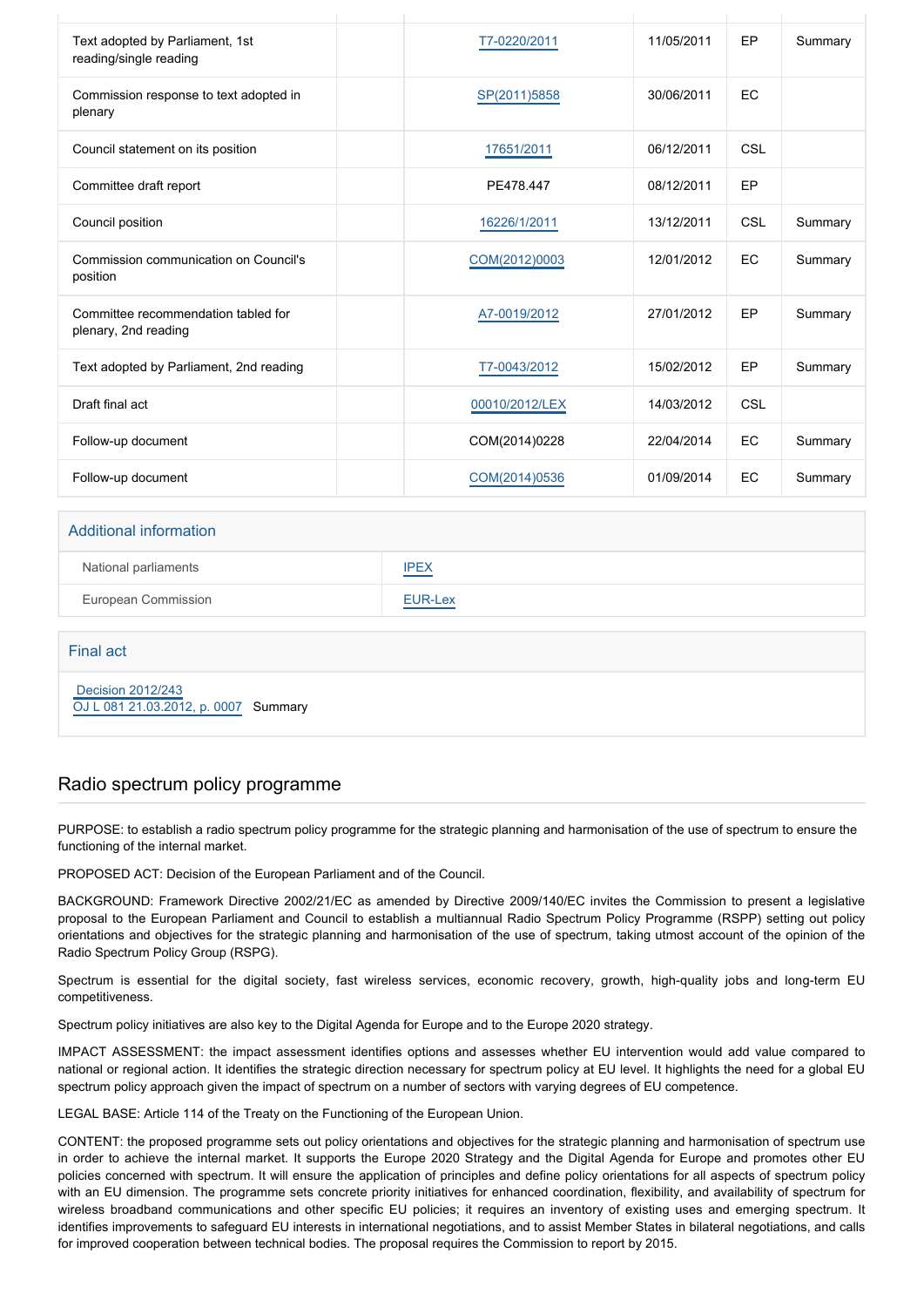| Text adopted by Parliament, 1st<br>reading/single reading   | T7-0220/2011   | 11/05/2011 | EP         | Summary |
|-------------------------------------------------------------|----------------|------------|------------|---------|
| Commission response to text adopted in<br>plenary           | SP(2011)5858   | 30/06/2011 | EC         |         |
| Council statement on its position                           | 17651/2011     | 06/12/2011 | CSL        |         |
| Committee draft report                                      | PE478.447      | 08/12/2011 | EP         |         |
| Council position                                            | 16226/1/2011   | 13/12/2011 | <b>CSL</b> | Summary |
| Commission communication on Council's<br>position           | COM(2012)0003  | 12/01/2012 | EC         | Summary |
| Committee recommendation tabled for<br>plenary, 2nd reading | A7-0019/2012   | 27/01/2012 | EP         | Summary |
| Text adopted by Parliament, 2nd reading                     | T7-0043/2012   | 15/02/2012 | <b>EP</b>  | Summary |
| Draft final act                                             | 00010/2012/LEX | 14/03/2012 | <b>CSL</b> |         |
| Follow-up document                                          | COM(2014)0228  | 22/04/2014 | EC         | Summary |
| Follow-up document                                          | COM(2014)0536  | 01/09/2014 | EC         | Summary |
| Additional information                                      |                |            |            |         |
|                                                             |                |            |            |         |

| National parliaments | <b>IPEX</b> |
|----------------------|-------------|
| European Commission  | EUR-Lex     |

Final act

 [Decision 2012/243](https://eur-lex.europa.eu/smartapi/cgi/sga_doc?smartapi!celexplus!prod!CELEXnumdoc&lg=EN&numdoc=32012D0243) [OJ L 081 21.03.2012, p. 0007](https://eur-lex.europa.eu/legal-content/EN/TXT/?uri=OJ:L:2012:081:TOC) Summary

#### Radio spectrum policy programme

PURPOSE: to establish a radio spectrum policy programme for the strategic planning and harmonisation of the use of spectrum to ensure the functioning of the internal market.

PROPOSED ACT: Decision of the European Parliament and of the Council.

BACKGROUND: Framework Directive 2002/21/EC as amended by Directive 2009/140/EC invites the Commission to present a legislative proposal to the European Parliament and Council to establish a multiannual Radio Spectrum Policy Programme (RSPP) setting out policy orientations and objectives for the strategic planning and harmonisation of the use of spectrum, taking utmost account of the opinion of the Radio Spectrum Policy Group (RSPG).

Spectrum is essential for the digital society, fast wireless services, economic recovery, growth, high-quality jobs and long-term EU competitiveness.

Spectrum policy initiatives are also key to the Digital Agenda for Europe and to the Europe 2020 strategy.

IMPACT ASSESSMENT: the impact assessment identifies options and assesses whether EU intervention would add value compared to national or regional action. It identifies the strategic direction necessary for spectrum policy at EU level. It highlights the need for a global EU spectrum policy approach given the impact of spectrum on a number of sectors with varying degrees of EU competence.

LEGAL BASE: Article 114 of the Treaty on the Functioning of the European Union.

CONTENT: the proposed programme sets out policy orientations and objectives for the strategic planning and harmonisation of spectrum use in order to achieve the internal market. It supports the Europe 2020 Strategy and the Digital Agenda for Europe and promotes other EU policies concerned with spectrum. It will ensure the application of principles and define policy orientations for all aspects of spectrum policy with an EU dimension. The programme sets concrete priority initiatives for enhanced coordination, flexibility, and availability of spectrum for wireless broadband communications and other specific EU policies; it requires an inventory of existing uses and emerging spectrum. It identifies improvements to safeguard EU interests in international negotiations, and to assist Member States in bilateral negotiations, and calls for improved cooperation between technical bodies. The proposal requires the Commission to report by 2015.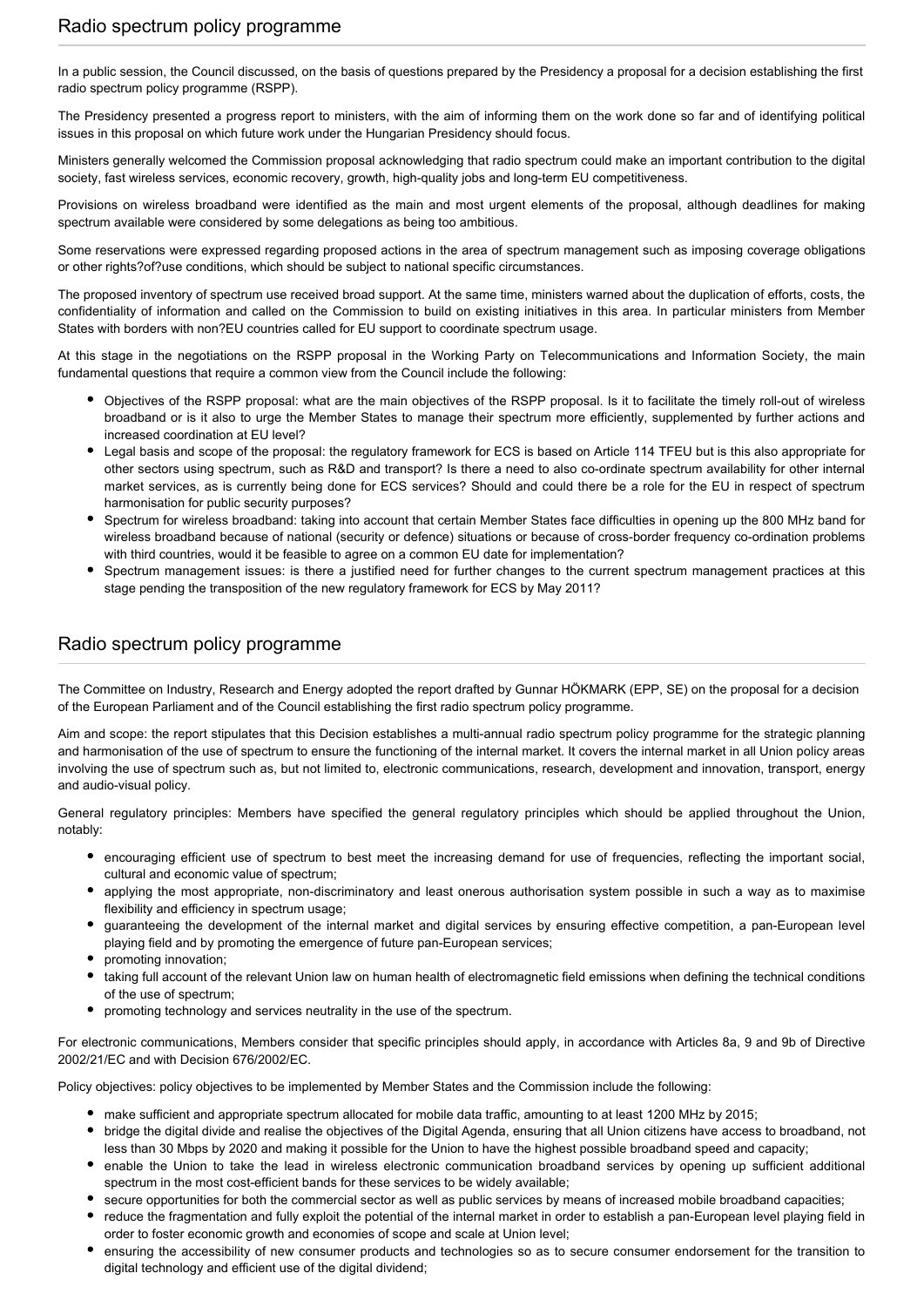In a public session, the Council discussed, on the basis of questions prepared by the Presidency a proposal for a decision establishing the first radio spectrum policy programme (RSPP).

The Presidency presented a progress report to ministers, with the aim of informing them on the work done so far and of identifying political issues in this proposal on which future work under the Hungarian Presidency should focus.

Ministers generally welcomed the Commission proposal acknowledging that radio spectrum could make an important contribution to the digital society, fast wireless services, economic recovery, growth, high-quality jobs and long-term EU competitiveness.

Provisions on wireless broadband were identified as the main and most urgent elements of the proposal, although deadlines for making spectrum available were considered by some delegations as being too ambitious.

Some reservations were expressed regarding proposed actions in the area of spectrum management such as imposing coverage obligations or other rights?of?use conditions, which should be subject to national specific circumstances.

The proposed inventory of spectrum use received broad support. At the same time, ministers warned about the duplication of efforts, costs, the confidentiality of information and called on the Commission to build on existing initiatives in this area. In particular ministers from Member States with borders with non?EU countries called for EU support to coordinate spectrum usage.

At this stage in the negotiations on the RSPP proposal in the Working Party on Telecommunications and Information Society, the main fundamental questions that require a common view from the Council include the following:

- Objectives of the RSPP proposal: what are the main objectives of the RSPP proposal. Is it to facilitate the timely roll-out of wireless broadband or is it also to urge the Member States to manage their spectrum more efficiently, supplemented by further actions and increased coordination at EU level?
- Legal basis and scope of the proposal: the regulatory framework for ECS is based on Article 114 TFEU but is this also appropriate for other sectors using spectrum, such as R&D and transport? Is there a need to also co-ordinate spectrum availability for other internal market services, as is currently being done for ECS services? Should and could there be a role for the EU in respect of spectrum harmonisation for public security purposes?
- Spectrum for wireless broadband: taking into account that certain Member States face difficulties in opening up the 800 MHz band for wireless broadband because of national (security or defence) situations or because of cross-border frequency co-ordination problems with third countries, would it be feasible to agree on a common EU date for implementation?
- Spectrum management issues: is there a justified need for further changes to the current spectrum management practices at this stage pending the transposition of the new regulatory framework for ECS by May 2011?

#### Radio spectrum policy programme

The Committee on Industry, Research and Energy adopted the report drafted by Gunnar HÖKMARK (EPP, SE) on the proposal for a decision of the European Parliament and of the Council establishing the first radio spectrum policy programme.

Aim and scope: the report stipulates that this Decision establishes a multi-annual radio spectrum policy programme for the strategic planning and harmonisation of the use of spectrum to ensure the functioning of the internal market. It covers the internal market in all Union policy areas involving the use of spectrum such as, but not limited to, electronic communications, research, development and innovation, transport, energy and audio-visual policy.

General regulatory principles: Members have specified the general regulatory principles which should be applied throughout the Union, notably:

- encouraging efficient use of spectrum to best meet the increasing demand for use of frequencies, reflecting the important social, cultural and economic value of spectrum;
- applying the most appropriate, non-discriminatory and least onerous authorisation system possible in such a way as to maximise flexibility and efficiency in spectrum usage;
- guaranteeing the development of the internal market and digital services by ensuring effective competition, a pan-European level playing field and by promoting the emergence of future pan-European services;
- promoting innovation;
- taking full account of the relevant Union law on human health of electromagnetic field emissions when defining the technical conditions of the use of spectrum;
- promoting technology and services neutrality in the use of the spectrum.

For electronic communications, Members consider that specific principles should apply, in accordance with Articles 8a, 9 and 9b of Directive 2002/21/EC and with Decision 676/2002/EC.

Policy objectives: policy objectives to be implemented by Member States and the Commission include the following:

- make sufficient and appropriate spectrum allocated for mobile data traffic, amounting to at least 1200 MHz by 2015;
- bridge the digital divide and realise the objectives of the Digital Agenda, ensuring that all Union citizens have access to broadband, not less than 30 Mbps by 2020 and making it possible for the Union to have the highest possible broadband speed and capacity;
- enable the Union to take the lead in wireless electronic communication broadband services by opening up sufficient additional spectrum in the most cost-efficient bands for these services to be widely available;
- secure opportunities for both the commercial sector as well as public services by means of increased mobile broadband capacities;
- reduce the fragmentation and fully exploit the potential of the internal market in order to establish a pan-European level playing field in order to foster economic growth and economies of scope and scale at Union level;
- ensuring the accessibility of new consumer products and technologies so as to secure consumer endorsement for the transition to digital technology and efficient use of the digital dividend;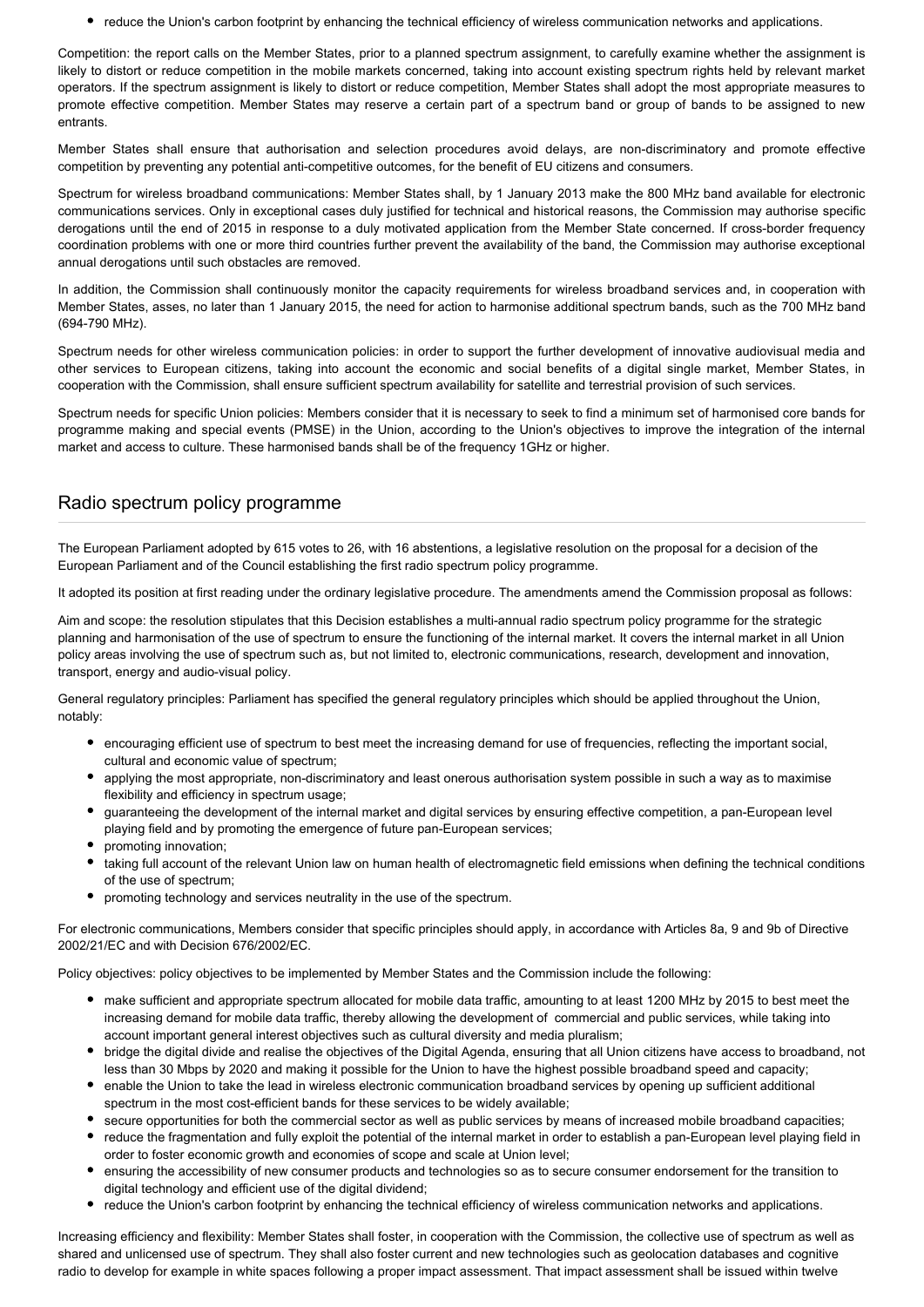reduce the Union's carbon footprint by enhancing the technical efficiency of wireless communication networks and applications.

Competition: the report calls on the Member States, prior to a planned spectrum assignment, to carefully examine whether the assignment is likely to distort or reduce competition in the mobile markets concerned, taking into account existing spectrum rights held by relevant market operators. If the spectrum assignment is likely to distort or reduce competition, Member States shall adopt the most appropriate measures to promote effective competition. Member States may reserve a certain part of a spectrum band or group of bands to be assigned to new entrants.

Member States shall ensure that authorisation and selection procedures avoid delays, are non-discriminatory and promote effective competition by preventing any potential anti-competitive outcomes, for the benefit of EU citizens and consumers.

Spectrum for wireless broadband communications: Member States shall, by 1 January 2013 make the 800 MHz band available for electronic communications services. Only in exceptional cases duly justified for technical and historical reasons, the Commission may authorise specific derogations until the end of 2015 in response to a duly motivated application from the Member State concerned. If cross-border frequency coordination problems with one or more third countries further prevent the availability of the band, the Commission may authorise exceptional annual derogations until such obstacles are removed.

In addition, the Commission shall continuously monitor the capacity requirements for wireless broadband services and, in cooperation with Member States, asses, no later than 1 January 2015, the need for action to harmonise additional spectrum bands, such as the 700 MHz band (694-790 MHz).

Spectrum needs for other wireless communication policies: in order to support the further development of innovative audiovisual media and other services to European citizens, taking into account the economic and social benefits of a digital single market, Member States, in cooperation with the Commission, shall ensure sufficient spectrum availability for satellite and terrestrial provision of such services.

Spectrum needs for specific Union policies: Members consider that it is necessary to seek to find a minimum set of harmonised core bands for programme making and special events (PMSE) in the Union, according to the Union's objectives to improve the integration of the internal market and access to culture. These harmonised bands shall be of the frequency 1GHz or higher.

# Radio spectrum policy programme

The European Parliament adopted by 615 votes to 26, with 16 abstentions, a legislative resolution on the proposal for a decision of the European Parliament and of the Council establishing the first radio spectrum policy programme.

It adopted its position at first reading under the ordinary legislative procedure. The amendments amend the Commission proposal as follows:

Aim and scope: the resolution stipulates that this Decision establishes a multi-annual radio spectrum policy programme for the strategic planning and harmonisation of the use of spectrum to ensure the functioning of the internal market. It covers the internal market in all Union policy areas involving the use of spectrum such as, but not limited to, electronic communications, research, development and innovation, transport, energy and audio-visual policy.

General regulatory principles: Parliament has specified the general regulatory principles which should be applied throughout the Union, notably:

- encouraging efficient use of spectrum to best meet the increasing demand for use of frequencies, reflecting the important social, cultural and economic value of spectrum;
- applying the most appropriate, non-discriminatory and least onerous authorisation system possible in such a way as to maximise flexibility and efficiency in spectrum usage;
- guaranteeing the development of the internal market and digital services by ensuring effective competition, a pan-European level playing field and by promoting the emergence of future pan-European services;
- promoting innovation;
- taking full account of the relevant Union law on human health of electromagnetic field emissions when defining the technical conditions of the use of spectrum;
- promoting technology and services neutrality in the use of the spectrum.

For electronic communications, Members consider that specific principles should apply, in accordance with Articles 8a, 9 and 9b of Directive 2002/21/EC and with Decision 676/2002/EC.

Policy objectives: policy objectives to be implemented by Member States and the Commission include the following:

- make sufficient and appropriate spectrum allocated for mobile data traffic, amounting to at least 1200 MHz by 2015 to best meet the increasing demand for mobile data traffic, thereby allowing the development of commercial and public services, while taking into account important general interest objectives such as cultural diversity and media pluralism;
- bridge the digital divide and realise the objectives of the Digital Agenda, ensuring that all Union citizens have access to broadband, not less than 30 Mbps by 2020 and making it possible for the Union to have the highest possible broadband speed and capacity;
- enable the Union to take the lead in wireless electronic communication broadband services by opening up sufficient additional spectrum in the most cost-efficient bands for these services to be widely available;
- secure opportunities for both the commercial sector as well as public services by means of increased mobile broadband capacities;
- reduce the fragmentation and fully exploit the potential of the internal market in order to establish a pan-European level playing field in order to foster economic growth and economies of scope and scale at Union level;
- ensuring the accessibility of new consumer products and technologies so as to secure consumer endorsement for the transition to digital technology and efficient use of the digital dividend;
- reduce the Union's carbon footprint by enhancing the technical efficiency of wireless communication networks and applications.

Increasing efficiency and flexibility: Member States shall foster, in cooperation with the Commission, the collective use of spectrum as well as shared and unlicensed use of spectrum. They shall also foster current and new technologies such as geolocation databases and cognitive radio to develop for example in white spaces following a proper impact assessment. That impact assessment shall be issued within twelve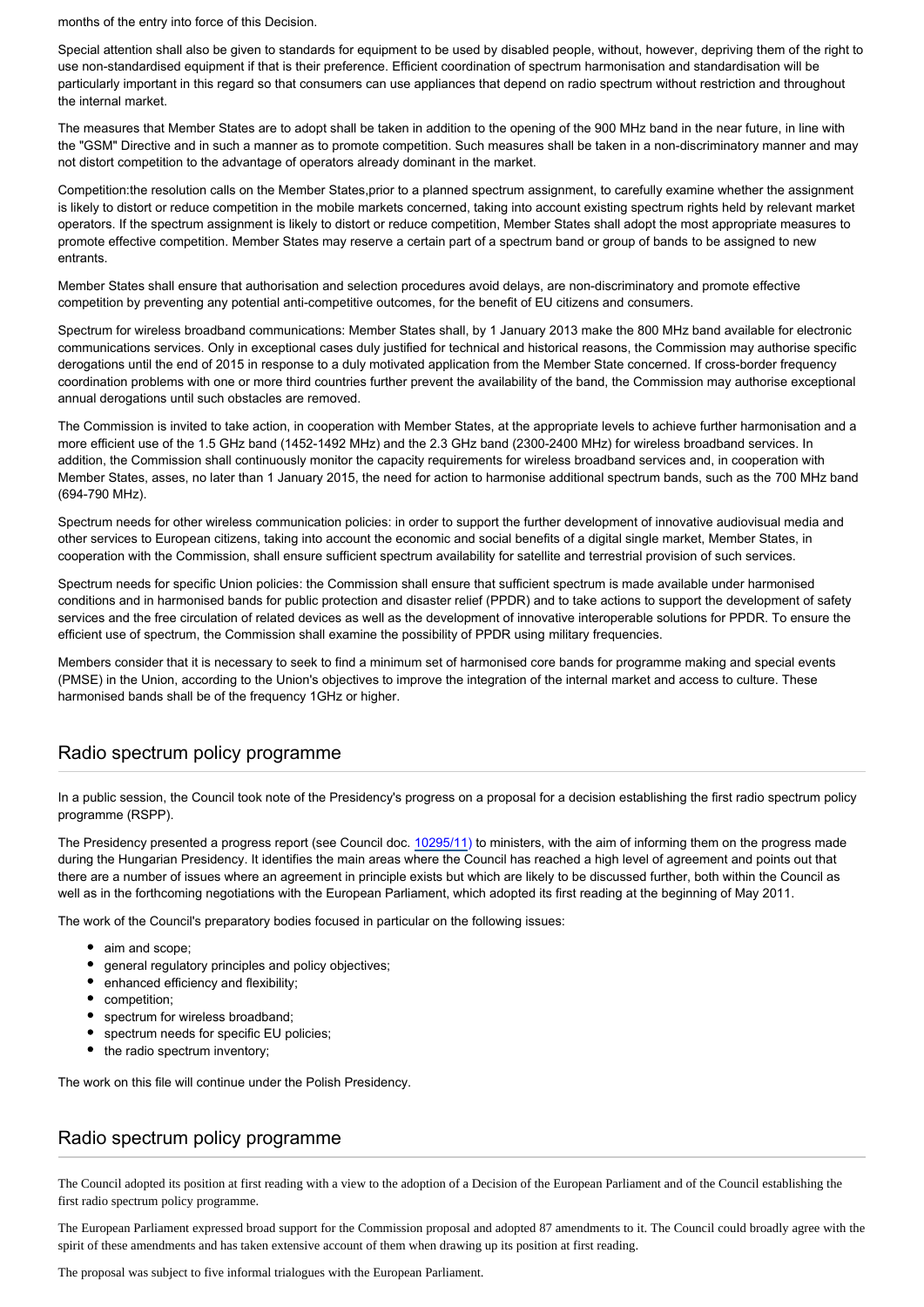months of the entry into force of this Decision.

Special attention shall also be given to standards for equipment to be used by disabled people, without, however, depriving them of the right to use non-standardised equipment if that is their preference. Efficient coordination of spectrum harmonisation and standardisation will be particularly important in this regard so that consumers can use appliances that depend on radio spectrum without restriction and throughout the internal market.

The measures that Member States are to adopt shall be taken in addition to the opening of the 900 MHz band in the near future, in line with the "GSM" Directive and in such a manner as to promote competition. Such measures shall be taken in a non-discriminatory manner and may not distort competition to the advantage of operators already dominant in the market.

Competition:the resolution calls on the Member States,prior to a planned spectrum assignment, to carefully examine whether the assignment is likely to distort or reduce competition in the mobile markets concerned, taking into account existing spectrum rights held by relevant market operators. If the spectrum assignment is likely to distort or reduce competition, Member States shall adopt the most appropriate measures to promote effective competition. Member States may reserve a certain part of a spectrum band or group of bands to be assigned to new entrants.

Member States shall ensure that authorisation and selection procedures avoid delays, are non-discriminatory and promote effective competition by preventing any potential anti-competitive outcomes, for the benefit of EU citizens and consumers.

Spectrum for wireless broadband communications: Member States shall, by 1 January 2013 make the 800 MHz band available for electronic communications services. Only in exceptional cases duly justified for technical and historical reasons, the Commission may authorise specific derogations until the end of 2015 in response to a duly motivated application from the Member State concerned. If cross-border frequency coordination problems with one or more third countries further prevent the availability of the band, the Commission may authorise exceptional annual derogations until such obstacles are removed.

The Commission is invited to take action, in cooperation with Member States, at the appropriate levels to achieve further harmonisation and a more efficient use of the 1.5 GHz band (1452-1492 MHz) and the 2.3 GHz band (2300-2400 MHz) for wireless broadband services. In addition, the Commission shall continuously monitor the capacity requirements for wireless broadband services and, in cooperation with Member States, asses, no later than 1 January 2015, the need for action to harmonise additional spectrum bands, such as the 700 MHz band (694-790 MHz).

Spectrum needs for other wireless communication policies: in order to support the further development of innovative audiovisual media and other services to European citizens, taking into account the economic and social benefits of a digital single market, Member States, in cooperation with the Commission, shall ensure sufficient spectrum availability for satellite and terrestrial provision of such services.

Spectrum needs for specific Union policies: the Commission shall ensure that sufficient spectrum is made available under harmonised conditions and in harmonised bands for public protection and disaster relief (PPDR) and to take actions to support the development of safety services and the free circulation of related devices as well as the development of innovative interoperable solutions for PPDR. To ensure the efficient use of spectrum, the Commission shall examine the possibility of PPDR using military frequencies.

Members consider that it is necessary to seek to find a minimum set of harmonised core bands for programme making and special events (PMSE) in the Union, according to the Union's objectives to improve the integration of the internal market and access to culture. These harmonised bands shall be of the frequency 1GHz or higher.

# Radio spectrum policy programme

In a public session, the Council took note of the Presidency's progress on a proposal for a decision establishing the first radio spectrum policy programme (RSPP).

The Presidency presented a progress report (see Council doc. [10295/11\)](http://register.consilium.europa.eu/pdf/en/11/st10/st10295.en11.pdf) to ministers, with the aim of informing them on the progress made during the Hungarian Presidency. It identifies the main areas where the Council has reached a high level of agreement and points out that there are a number of issues where an agreement in principle exists but which are likely to be discussed further, both within the Council as well as in the forthcoming negotiations with the European Parliament, which adopted its first reading at the beginning of May 2011.

The work of the Council's preparatory bodies focused in particular on the following issues:

- aim and scope;
- general regulatory principles and policy objectives;
- enhanced efficiency and flexibility;
- competition;
- spectrum for wireless broadband;
- spectrum needs for specific EU policies:
- the radio spectrum inventory;

The work on this file will continue under the Polish Presidency.

#### Radio spectrum policy programme

The Council adopted its position at first reading with a view to the adoption of a Decision of the European Parliament and of the Council establishing the first radio spectrum policy programme.

The European Parliament expressed broad support for the Commission proposal and adopted 87 amendments to it. The Council could broadly agree with the spirit of these amendments and has taken extensive account of them when drawing up its position at first reading.

The proposal was subject to five informal trialogues with the European Parliament.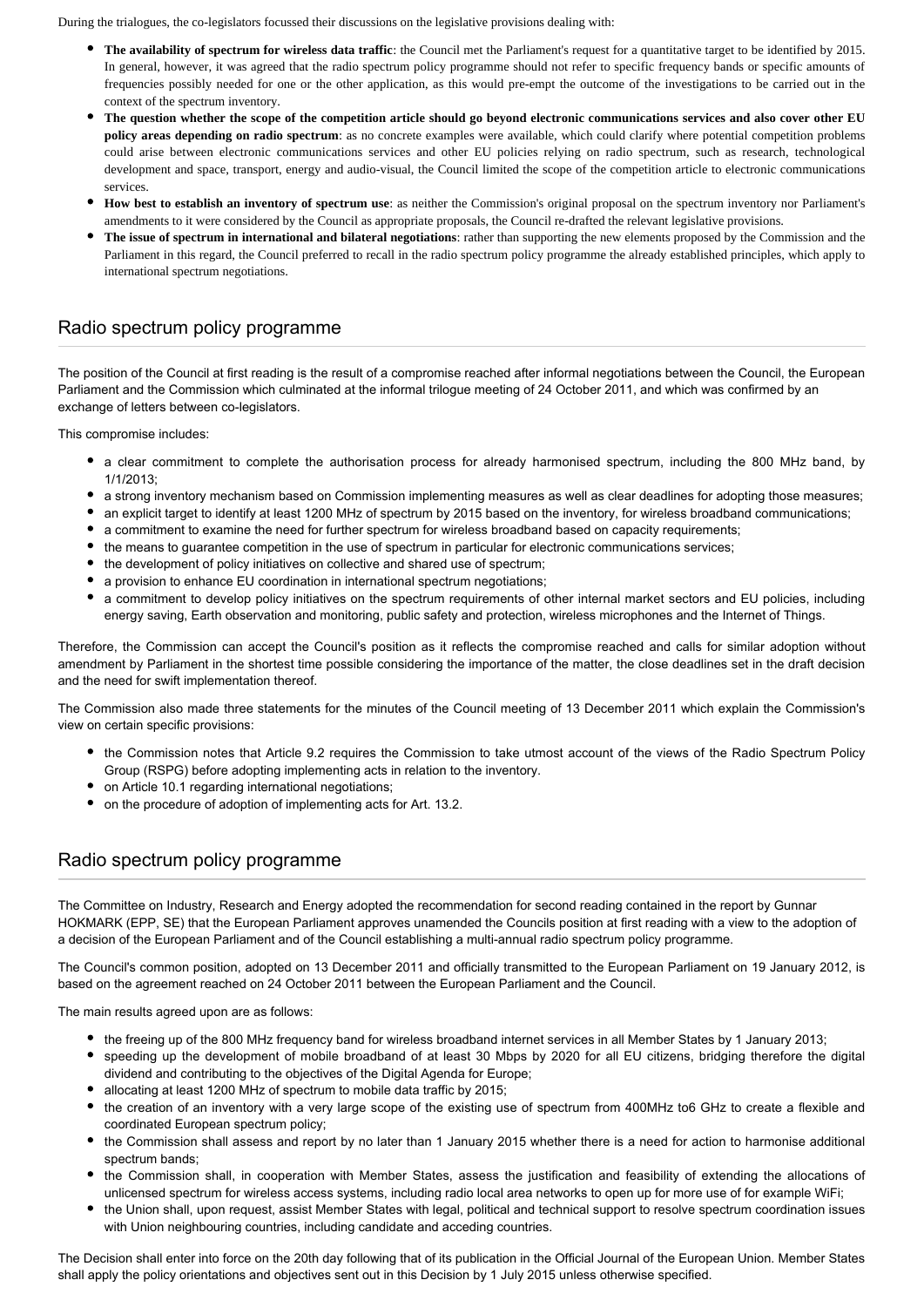During the trialogues, the co-legislators focussed their discussions on the legislative provisions dealing with:

- **The availability of spectrum for wireless data traffic**: the Council met the Parliament's request for a quantitative target to be identified by 2015. In general, however, it was agreed that the radio spectrum policy programme should not refer to specific frequency bands or specific amounts of frequencies possibly needed for one or the other application, as this would pre-empt the outcome of the investigations to be carried out in the context of the spectrum inventory.
- **The question whether the scope of the competition article should go beyond electronic communications services and also cover other EU policy areas depending on radio spectrum**: as no concrete examples were available, which could clarify where potential competition problems could arise between electronic communications services and other EU policies relying on radio spectrum, such as research, technological development and space, transport, energy and audio-visual, the Council limited the scope of the competition article to electronic communications services.
- **How best to establish an inventory of spectrum use**: as neither the Commission's original proposal on the spectrum inventory nor Parliament's amendments to it were considered by the Council as appropriate proposals, the Council re-drafted the relevant legislative provisions.
- **The issue of spectrum in international and bilateral negotiations**: rather than supporting the new elements proposed by the Commission and the Parliament in this regard, the Council preferred to recall in the radio spectrum policy programme the already established principles, which apply to international spectrum negotiations.

## Radio spectrum policy programme

The position of the Council at first reading is the result of a compromise reached after informal negotiations between the Council, the European Parliament and the Commission which culminated at the informal trilogue meeting of 24 October 2011, and which was confirmed by an exchange of letters between co-legislators.

This compromise includes:

- a clear commitment to complete the authorisation process for already harmonised spectrum, including the 800 MHz band, by 1/1/2013;
- a strong inventory mechanism based on Commission implementing measures as well as clear deadlines for adopting those measures;
- an explicit target to identify at least 1200 MHz of spectrum by 2015 based on the inventory, for wireless broadband communications;
- a commitment to examine the need for further spectrum for wireless broadband based on capacity requirements;
- the means to guarantee competition in the use of spectrum in particular for electronic communications services;
- the development of policy initiatives on collective and shared use of spectrum;
- a provision to enhance EU coordination in international spectrum negotiations;
- a commitment to develop policy initiatives on the spectrum requirements of other internal market sectors and EU policies, including energy saving, Earth observation and monitoring, public safety and protection, wireless microphones and the Internet of Things.

Therefore, the Commission can accept the Council's position as it reflects the compromise reached and calls for similar adoption without amendment by Parliament in the shortest time possible considering the importance of the matter, the close deadlines set in the draft decision and the need for swift implementation thereof.

The Commission also made three statements for the minutes of the Council meeting of 13 December 2011 which explain the Commission's view on certain specific provisions:

- the Commission notes that Article 9.2 requires the Commission to take utmost account of the views of the Radio Spectrum Policy Group (RSPG) before adopting implementing acts in relation to the inventory.
- on Article 10.1 regarding international negotiations;
- on the procedure of adoption of implementing acts for Art. 13.2.

## Radio spectrum policy programme

The Committee on Industry, Research and Energy adopted the recommendation for second reading contained in the report by Gunnar HOKMARK (EPP, SE) that the European Parliament approves unamended the Councils position at first reading with a view to the adoption of a decision of the European Parliament and of the Council establishing a multi-annual radio spectrum policy programme.

The Council's common position, adopted on 13 December 2011 and officially transmitted to the European Parliament on 19 January 2012, is based on the agreement reached on 24 October 2011 between the European Parliament and the Council.

The main results agreed upon are as follows:

- the freeing up of the 800 MHz frequency band for wireless broadband internet services in all Member States by 1 January 2013;
- speeding up the development of mobile broadband of at least 30 Mbps by 2020 for all EU citizens, bridging therefore the digital dividend and contributing to the objectives of the Digital Agenda for Europe;
- allocating at least 1200 MHz of spectrum to mobile data traffic by 2015;
- the creation of an inventory with a very large scope of the existing use of spectrum from 400MHz to6 GHz to create a flexible and coordinated European spectrum policy;
- the Commission shall assess and report by no later than 1 January 2015 whether there is a need for action to harmonise additional spectrum bands;
- the Commission shall, in cooperation with Member States, assess the justification and feasibility of extending the allocations of unlicensed spectrum for wireless access systems, including radio local area networks to open up for more use of for example WiFi;
- the Union shall, upon request, assist Member States with legal, political and technical support to resolve spectrum coordination issues with Union neighbouring countries, including candidate and acceding countries.

The Decision shall enter into force on the 20th day following that of its publication in the Official Journal of the European Union. Member States shall apply the policy orientations and objectives sent out in this Decision by 1 July 2015 unless otherwise specified.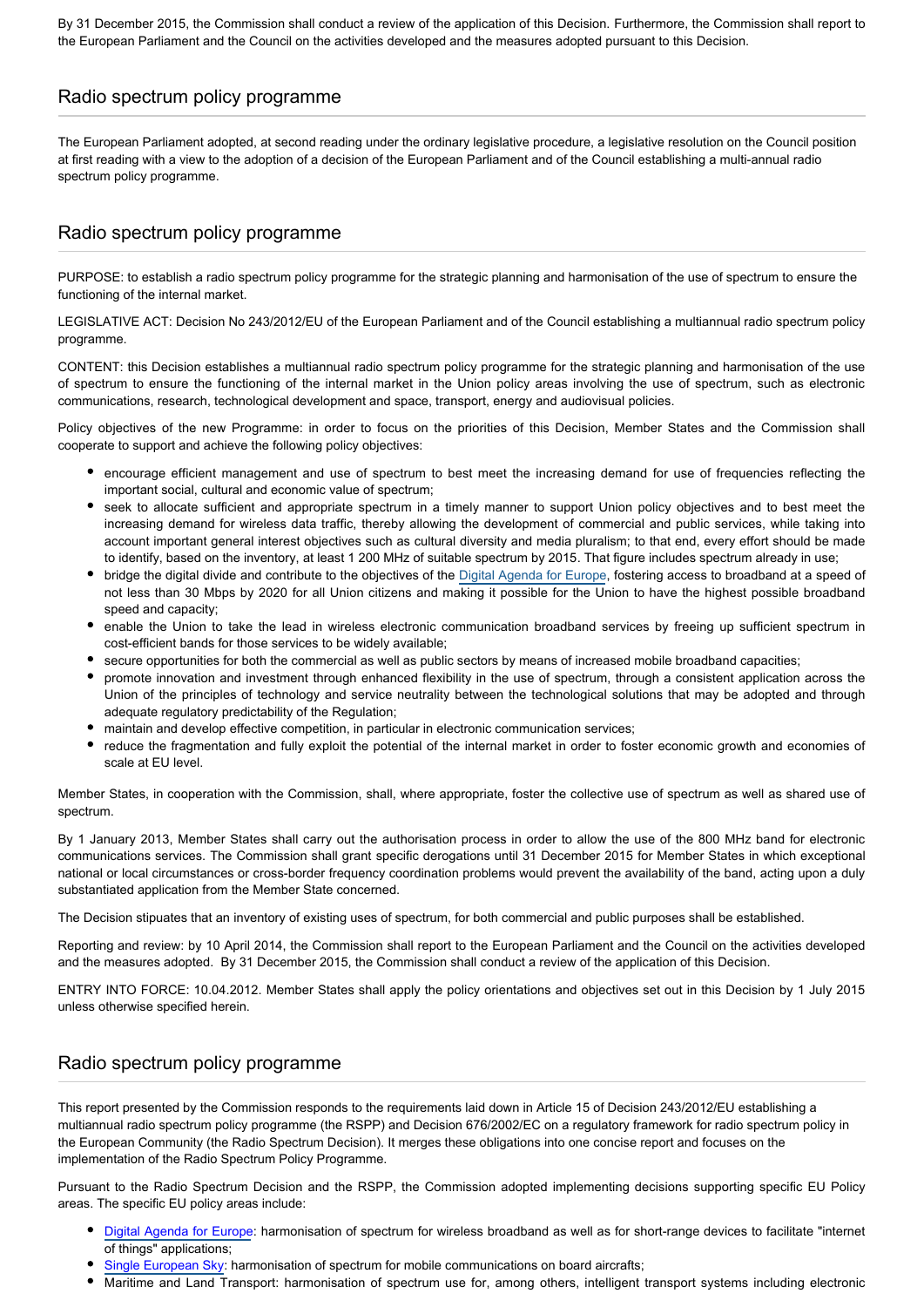By 31 December 2015, the Commission shall conduct a review of the application of this Decision. Furthermore, the Commission shall report to the European Parliament and the Council on the activities developed and the measures adopted pursuant to this Decision.

## Radio spectrum policy programme

The European Parliament adopted, at second reading under the ordinary legislative procedure, a legislative resolution on the Council position at first reading with a view to the adoption of a decision of the European Parliament and of the Council establishing a multi-annual radio spectrum policy programme.

# Radio spectrum policy programme

PURPOSE: to establish a radio spectrum policy programme for the strategic planning and harmonisation of the use of spectrum to ensure the functioning of the internal market.

LEGISLATIVE ACT: Decision No 243/2012/EU of the European Parliament and of the Council establishing a multiannual radio spectrum policy programme.

CONTENT: this Decision establishes a multiannual radio spectrum policy programme for the strategic planning and harmonisation of the use of spectrum to ensure the functioning of the internal market in the Union policy areas involving the use of spectrum, such as electronic communications, research, technological development and space, transport, energy and audiovisual policies.

Policy objectives of the new Programme: in order to focus on the priorities of this Decision, Member States and the Commission shall cooperate to support and achieve the following policy objectives:

- encourage efficient management and use of spectrum to best meet the increasing demand for use of frequencies reflecting the important social, cultural and economic value of spectrum;
- seek to allocate sufficient and appropriate spectrum in a timely manner to support Union policy objectives and to best meet the increasing demand for wireless data traffic, thereby allowing the development of commercial and public services, while taking into account important general interest objectives such as cultural diversity and media pluralism; to that end, every effort should be made to identify, based on the inventory, at least 1 200 MHz of suitable spectrum by 2015. That figure includes spectrum already in use;
- bridge the digital divide and contribute to the objectives of the [Digital Agenda for Europe](http://www.eur-lex.europa.eu/LexUriServ/LexUriServ.do?uri=COM:2010:0245:FIN:EN:PDF), fostering access to broadband at a speed of not less than 30 Mbps by 2020 for all Union citizens and making it possible for the Union to have the highest possible broadband speed and capacity;
- enable the Union to take the lead in wireless electronic communication broadband services by freeing up sufficient spectrum in cost-efficient bands for those services to be widely available;
- secure opportunities for both the commercial as well as public sectors by means of increased mobile broadband capacities;
- promote innovation and investment through enhanced flexibility in the use of spectrum, through a consistent application across the Union of the principles of technology and service neutrality between the technological solutions that may be adopted and through adequate regulatory predictability of the Regulation;
- maintain and develop effective competition, in particular in electronic communication services;
- reduce the fragmentation and fully exploit the potential of the internal market in order to foster economic growth and economies of scale at EU level.

Member States, in cooperation with the Commission, shall, where appropriate, foster the collective use of spectrum as well as shared use of spectrum.

By 1 January 2013, Member States shall carry out the authorisation process in order to allow the use of the 800 MHz band for electronic communications services. The Commission shall grant specific derogations until 31 December 2015 for Member States in which exceptional national or local circumstances or cross-border frequency coordination problems would prevent the availability of the band, acting upon a duly substantiated application from the Member State concerned.

The Decision stipuates that an inventory of existing uses of spectrum, for both commercial and public purposes shall be established.

Reporting and review: by 10 April 2014, the Commission shall report to the European Parliament and the Council on the activities developed and the measures adopted. By 31 December 2015, the Commission shall conduct a review of the application of this Decision.

ENTRY INTO FORCE: 10.04.2012. Member States shall apply the policy orientations and objectives set out in this Decision by 1 July 2015 unless otherwise specified herein.

## Radio spectrum policy programme

This report presented by the Commission responds to the requirements laid down in Article 15 of Decision 243/2012/EU establishing a multiannual radio spectrum policy programme (the RSPP) and Decision 676/2002/EC on a regulatory framework for radio spectrum policy in the European Community (the Radio Spectrum Decision). It merges these obligations into one concise report and focuses on the implementation of the Radio Spectrum Policy Programme.

Pursuant to the Radio Spectrum Decision and the RSPP, the Commission adopted implementing decisions supporting specific EU Policy areas. The specific EU policy areas include:

- [Digital Agenda for Europe](http://www.europarl.europa.eu/oeil/popups/thematicnote.do?id=2058000&l=en): harmonisation of spectrum for wireless broadband as well as for short-range devices to facilitate "internet of things" applications;
- [Single European Sky](http://www.europarl.europa.eu/oeil/popups/ficheprocedure.do?reference=2013/0186(COD)&l=EN): harmonisation of spectrum for mobile communications on board aircrafts;
- Maritime and Land Transport: harmonisation of spectrum use for, among others, intelligent transport systems including electronic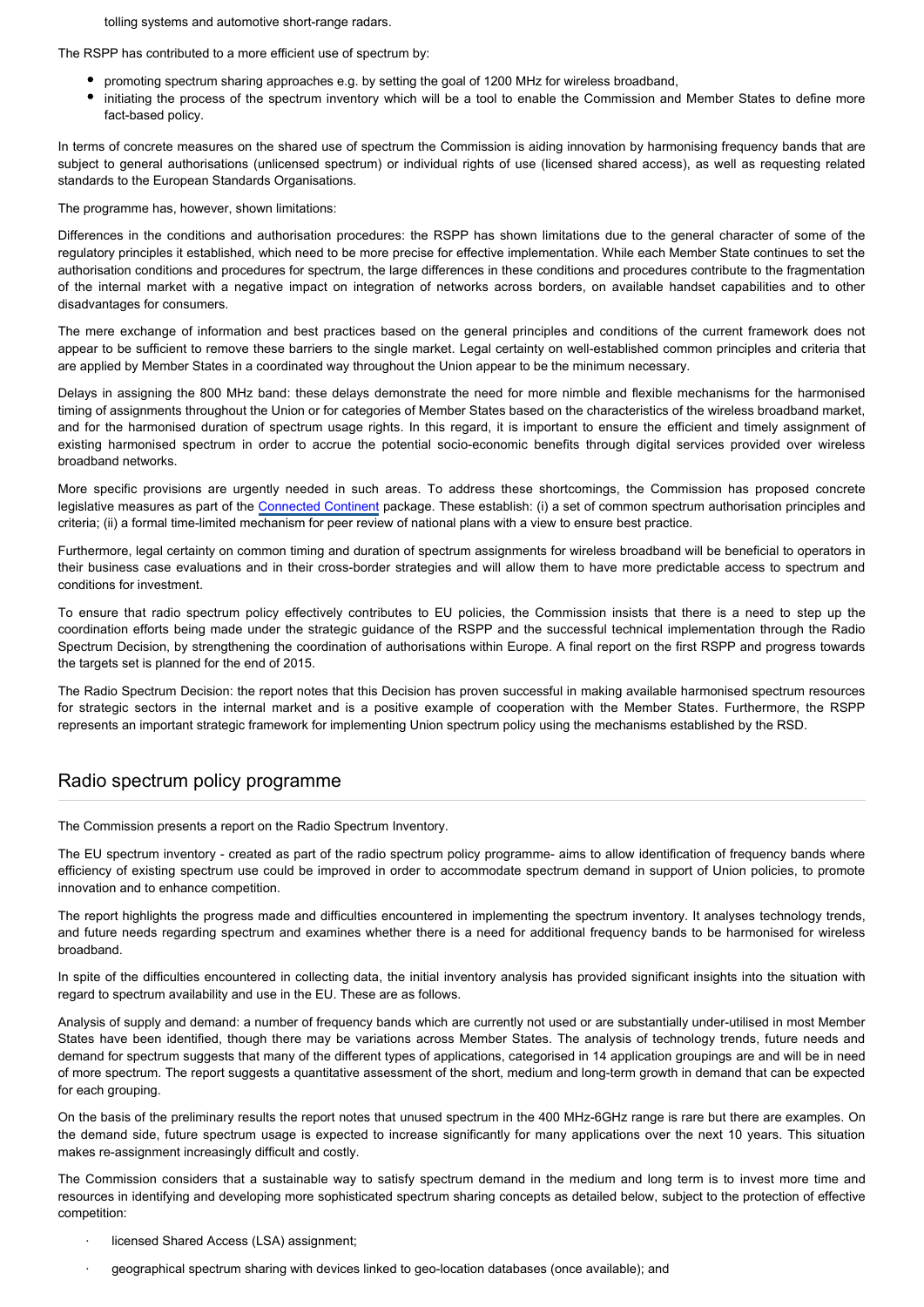tolling systems and automotive short-range radars.

The RSPP has contributed to a more efficient use of spectrum by:

- promoting spectrum sharing approaches e.g. by setting the goal of 1200 MHz for wireless broadband,
- initiating the process of the spectrum inventory which will be a tool to enable the Commission and Member States to define more fact-based policy.

In terms of concrete measures on the shared use of spectrum the Commission is aiding innovation by harmonising frequency bands that are subject to general authorisations (unlicensed spectrum) or individual rights of use (licensed shared access), as well as requesting related standards to the European Standards Organisations.

The programme has, however, shown limitations:

Differences in the conditions and authorisation procedures: the RSPP has shown limitations due to the general character of some of the regulatory principles it established, which need to be more precise for effective implementation. While each Member State continues to set the authorisation conditions and procedures for spectrum, the large differences in these conditions and procedures contribute to the fragmentation of the internal market with a negative impact on integration of networks across borders, on available handset capabilities and to other disadvantages for consumers.

The mere exchange of information and best practices based on the general principles and conditions of the current framework does not appear to be sufficient to remove these barriers to the single market. Legal certainty on well-established common principles and criteria that are applied by Member States in a coordinated way throughout the Union appear to be the minimum necessary.

Delays in assigning the 800 MHz band: these delays demonstrate the need for more nimble and flexible mechanisms for the harmonised timing of assignments throughout the Union or for categories of Member States based on the characteristics of the wireless broadband market, and for the harmonised duration of spectrum usage rights. In this regard, it is important to ensure the efficient and timely assignment of existing harmonised spectrum in order to accrue the potential socio-economic benefits through digital services provided over wireless broadband networks.

More specific provisions are urgently needed in such areas. To address these shortcomings, the Commission has proposed concrete legislative measures as part of the [Connected Continent](http://www.europarl.europa.eu/oeil/popups/ficheprocedure.do?reference=COM(2013)0634&l=en) package. These establish: (i) a set of common spectrum authorisation principles and criteria; (ii) a formal time-limited mechanism for peer review of national plans with a view to ensure best practice.

Furthermore, legal certainty on common timing and duration of spectrum assignments for wireless broadband will be beneficial to operators in their business case evaluations and in their cross-border strategies and will allow them to have more predictable access to spectrum and conditions for investment.

To ensure that radio spectrum policy effectively contributes to EU policies, the Commission insists that there is a need to step up the coordination efforts being made under the strategic guidance of the RSPP and the successful technical implementation through the Radio Spectrum Decision, by strengthening the coordination of authorisations within Europe. A final report on the first RSPP and progress towards the targets set is planned for the end of 2015.

The Radio Spectrum Decision: the report notes that this Decision has proven successful in making available harmonised spectrum resources for strategic sectors in the internal market and is a positive example of cooperation with the Member States. Furthermore, the RSPP represents an important strategic framework for implementing Union spectrum policy using the mechanisms established by the RSD.

## Radio spectrum policy programme

The Commission presents a report on the Radio Spectrum Inventory.

The EU spectrum inventory - created as part of the radio spectrum policy programme- aims to allow identification of frequency bands where efficiency of existing spectrum use could be improved in order to accommodate spectrum demand in support of Union policies, to promote innovation and to enhance competition.

The report highlights the progress made and difficulties encountered in implementing the spectrum inventory. It analyses technology trends, and future needs regarding spectrum and examines whether there is a need for additional frequency bands to be harmonised for wireless broadband.

In spite of the difficulties encountered in collecting data, the initial inventory analysis has provided significant insights into the situation with regard to spectrum availability and use in the EU. These are as follows.

Analysis of supply and demand: a number of frequency bands which are currently not used or are substantially under-utilised in most Member States have been identified, though there may be variations across Member States. The analysis of technology trends, future needs and demand for spectrum suggests that many of the different types of applications, categorised in 14 application groupings are and will be in need of more spectrum. The report suggests a quantitative assessment of the short, medium and long-term growth in demand that can be expected for each grouping.

On the basis of the preliminary results the report notes that unused spectrum in the 400 MHz-6GHz range is rare but there are examples. On the demand side, future spectrum usage is expected to increase significantly for many applications over the next 10 years. This situation makes re-assignment increasingly difficult and costly.

The Commission considers that a sustainable way to satisfy spectrum demand in the medium and long term is to invest more time and resources in identifying and developing more sophisticated spectrum sharing concepts as detailed below, subject to the protection of effective competition:

- licensed Shared Access (LSA) assignment;
- · geographical spectrum sharing with devices linked to geo-location databases (once available); and